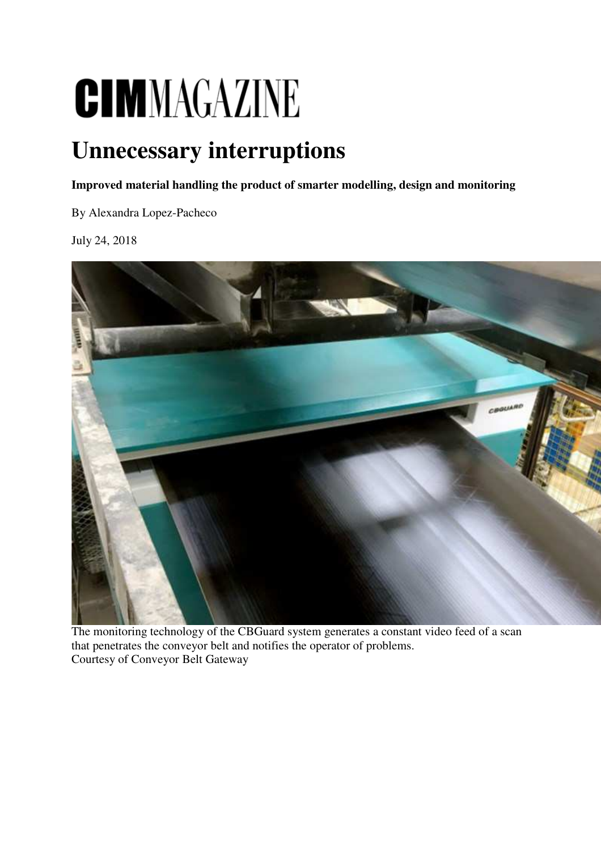## CIMMAGAZINE

## **Unnecessary interruptions**

**Improved material handling the product of smarter modelling, design and monitoring** 

By Alexandra Lopez-Pacheco

July 24, 2018



The monitoring technology of the CBGuard system generates a constant video feed of a scan that penetrates the conveyor belt and notifies the operator of problems. Courtesy of Conveyor Belt Gateway